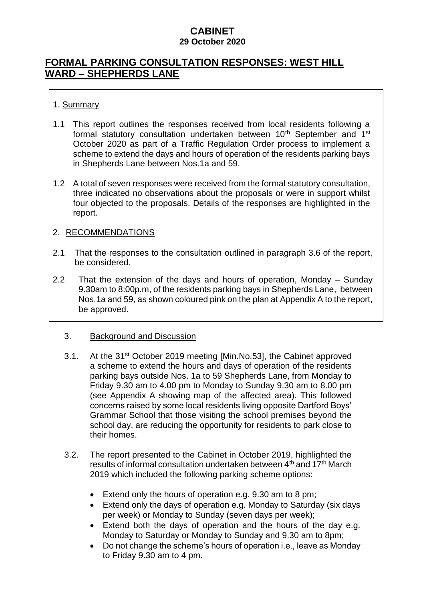# **CABINET**

# **29 October 2020**

# **FORMAL PARKING CONSULTATION RESPONSES: WEST HILL WARD – SHEPHERDS LANE**

#### 1. Summary

- 1.1 This report outlines the responses received from local residents following a formal statutory consultation undertaken between 10<sup>th</sup> September and 1<sup>st</sup> October 2020 as part of a Traffic Regulation Order process to implement a scheme to extend the days and hours of operation of the residents parking bays in Shepherds Lane between Nos.1a and 59.
- 1.2 A total of seven responses were received from the formal statutory consultation, three indicated no observations about the proposals or were in support whilst four objected to the proposals. Details of the responses are highlighted in the report.

#### 2. RECOMMENDATIONS

- 2.1 That the responses to the consultation outlined in paragraph 3.6 of the report, be considered.
- 2.2 That the extension of the days and hours of operation, Monday Sunday 9.30am to 8:00p.m, of the residents parking bays in Shepherds Lane, between Nos.1a and 59, as shown coloured pink on the plan at Appendix A to the report, be approved.

#### 3. Background and Discussion

- 3.1. At the 31<sup>st</sup> October 2019 meeting [Min.No.53], the Cabinet approved a scheme to extend the hours and days of operation of the residents parking bays outside Nos. 1a to 59 Shepherds Lane, from Monday to Friday 9.30 am to 4.00 pm to Monday to Sunday 9.30 am to 8.00 pm (see Appendix A showing map of the affected area). This followed concerns raised by some local residents living opposite Dartford Boys' Grammar School that those visiting the school premises beyond the school day, are reducing the opportunity for residents to park close to their homes.
- 3.2. The report presented to the Cabinet in October 2019, highlighted the results of informal consultation undertaken between 4<sup>th</sup> and 17<sup>th</sup> March 2019 which included the following parking scheme options:
	- Extend only the hours of operation e.g. 9.30 am to 8 pm;
	- Extend only the days of operation e.g. Monday to Saturday (six days per week) or Monday to Sunday (seven days per week);
	- Extend both the days of operation and the hours of the day e.g. Monday to Saturday or Monday to Sunday and 9.30 am to 8pm;
	- Do not change the scheme's hours of operation i.e., leave as Monday to Friday 9.30 am to 4 pm.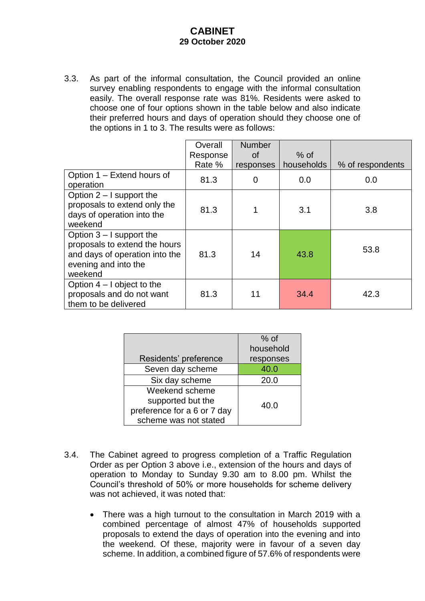3.3. As part of the informal consultation, the Council provided an online survey enabling respondents to engage with the informal consultation easily. The overall response rate was 81%. Residents were asked to choose one of four options shown in the table below and also indicate their preferred hours and days of operation should they choose one of the options in 1 to 3. The results were as follows:

|                                | Overall  | <b>Number</b> |            |                  |
|--------------------------------|----------|---------------|------------|------------------|
|                                | Response | 0f            | $%$ of     |                  |
|                                | Rate %   | responses     | households | % of respondents |
| Option 1 - Extend hours of     | 81.3     | 0             | 0.0        | 0.0              |
| operation                      |          |               |            |                  |
| Option 2 – I support the       |          |               |            |                  |
| proposals to extend only the   | 81.3     |               | 3.1        | 3.8              |
| days of operation into the     |          |               |            |                  |
| weekend                        |          |               |            |                  |
| Option $3 - I$ support the     |          |               |            |                  |
| proposals to extend the hours  |          |               |            | 53.8             |
| and days of operation into the | 81.3     | 14            | 43.8       |                  |
| evening and into the           |          |               |            |                  |
| weekend                        |          |               |            |                  |
| Option $4 - I$ object to the   |          |               |            |                  |
| proposals and do not want      | 81.3     | 11            | 34.4       | 42.3             |
| them to be delivered           |          |               |            |                  |

|                             | $%$ of    |
|-----------------------------|-----------|
|                             | household |
| Residents' preference       | responses |
| Seven day scheme            | 40.0      |
| Six day scheme              | 20.0      |
| Weekend scheme              |           |
| supported but the           | 40.0      |
| preference for a 6 or 7 day |           |
| scheme was not stated       |           |

- 3.4. The Cabinet agreed to progress completion of a Traffic Regulation Order as per Option 3 above i.e., extension of the hours and days of operation to Monday to Sunday 9.30 am to 8.00 pm. Whilst the Council's threshold of 50% or more households for scheme delivery was not achieved, it was noted that:
	- There was a high turnout to the consultation in March 2019 with a combined percentage of almost 47% of households supported proposals to extend the days of operation into the evening and into the weekend. Of these, majority were in favour of a seven day scheme. In addition, a combined figure of 57.6% of respondents were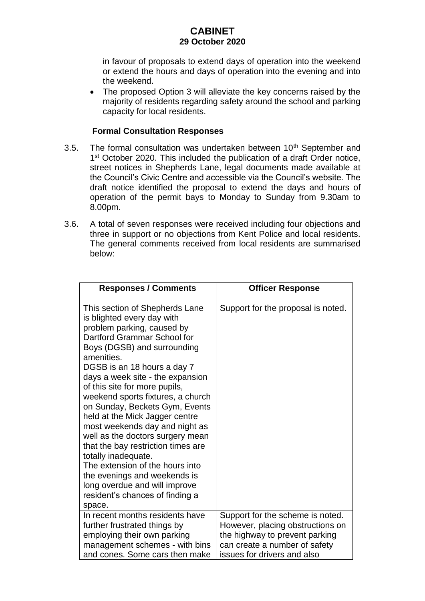in favour of proposals to extend days of operation into the weekend or extend the hours and days of operation into the evening and into the weekend.

• The proposed Option 3 will alleviate the key concerns raised by the majority of residents regarding safety around the school and parking capacity for local residents.

#### **Formal Consultation Responses**

- 3.5. The formal consultation was undertaken between 10<sup>th</sup> September and 1<sup>st</sup> October 2020. This included the publication of a draft Order notice, street notices in Shepherds Lane, legal documents made available at the Council's Civic Centre and accessible via the Council's website. The draft notice identified the proposal to extend the days and hours of operation of the permit bays to Monday to Sunday from 9.30am to 8.00pm.
- 3.6. A total of seven responses were received including four objections and three in support or no objections from Kent Police and local residents. The general comments received from local residents are summarised below:

| <b>Responses / Comments</b>                                                                                                                                                                                                                                                                                                                                                                                                                                                                                                                                                                                                                                             | <b>Officer Response</b>                                                                                                                                                |  |  |
|-------------------------------------------------------------------------------------------------------------------------------------------------------------------------------------------------------------------------------------------------------------------------------------------------------------------------------------------------------------------------------------------------------------------------------------------------------------------------------------------------------------------------------------------------------------------------------------------------------------------------------------------------------------------------|------------------------------------------------------------------------------------------------------------------------------------------------------------------------|--|--|
| This section of Shepherds Lane<br>is blighted every day with<br>problem parking, caused by<br>Dartford Grammar School for<br>Boys (DGSB) and surrounding<br>amenities.<br>DGSB is an 18 hours a day 7<br>days a week site - the expansion<br>of this site for more pupils,<br>weekend sports fixtures, a church<br>on Sunday, Beckets Gym, Events<br>held at the Mick Jagger centre<br>most weekends day and night as<br>well as the doctors surgery mean<br>that the bay restriction times are<br>totally inadequate.<br>The extension of the hours into<br>the evenings and weekends is<br>long overdue and will improve<br>resident's chances of finding a<br>space. | Support for the proposal is noted.                                                                                                                                     |  |  |
| In recent months residents have<br>further frustrated things by<br>employing their own parking<br>management schemes - with bins<br>and cones. Some cars then make                                                                                                                                                                                                                                                                                                                                                                                                                                                                                                      | Support for the scheme is noted.<br>However, placing obstructions on<br>the highway to prevent parking<br>can create a number of safety<br>issues for drivers and also |  |  |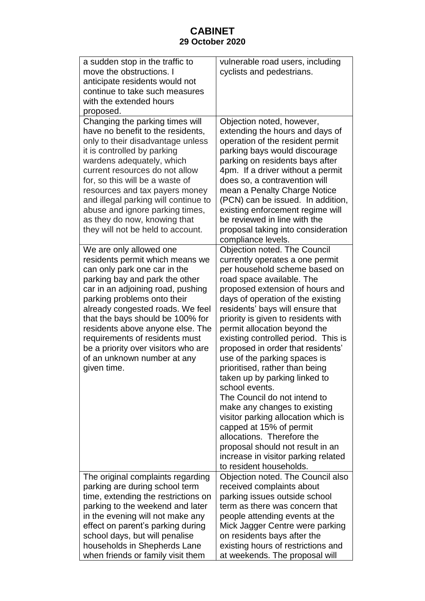| a sudden stop in the traffic to<br>move the obstructions. I<br>anticipate residents would not<br>continue to take such measures<br>with the extended hours<br>proposed.                                                                                                                                                                                                                                                             | vulnerable road users, including<br>cyclists and pedestrians.                                                                                                                                                                                                                                                                                                                                                                                                                                                                                                                                                                                                                                                                                                                           |
|-------------------------------------------------------------------------------------------------------------------------------------------------------------------------------------------------------------------------------------------------------------------------------------------------------------------------------------------------------------------------------------------------------------------------------------|-----------------------------------------------------------------------------------------------------------------------------------------------------------------------------------------------------------------------------------------------------------------------------------------------------------------------------------------------------------------------------------------------------------------------------------------------------------------------------------------------------------------------------------------------------------------------------------------------------------------------------------------------------------------------------------------------------------------------------------------------------------------------------------------|
| Changing the parking times will<br>have no benefit to the residents,<br>only to their disadvantage unless<br>it is controlled by parking<br>wardens adequately, which<br>current resources do not allow<br>for, so this will be a waste of<br>resources and tax payers money<br>and illegal parking will continue to<br>abuse and ignore parking times,<br>as they do now, knowing that<br>they will not be held to account.        | Objection noted, however,<br>extending the hours and days of<br>operation of the resident permit<br>parking bays would discourage<br>parking on residents bays after<br>4pm. If a driver without a permit<br>does so, a contravention will<br>mean a Penalty Charge Notice<br>(PCN) can be issued. In addition,<br>existing enforcement regime will<br>be reviewed in line with the<br>proposal taking into consideration<br>compliance levels.                                                                                                                                                                                                                                                                                                                                         |
| We are only allowed one<br>residents permit which means we<br>can only park one car in the<br>parking bay and park the other<br>car in an adjoining road, pushing<br>parking problems onto their<br>already congested roads. We feel<br>that the bays should be 100% for<br>residents above anyone else. The<br>requirements of residents must<br>be a priority over visitors who are<br>of an unknown number at any<br>given time. | Objection noted. The Council<br>currently operates a one permit<br>per household scheme based on<br>road space available. The<br>proposed extension of hours and<br>days of operation of the existing<br>residents' bays will ensure that<br>priority is given to residents with<br>permit allocation beyond the<br>existing controlled period. This is<br>proposed in order that residents'<br>use of the parking spaces is<br>prioritised, rather than being<br>taken up by parking linked to<br>school events.<br>The Council do not intend to<br>make any changes to existing<br>visitor parking allocation which is<br>capped at 15% of permit<br>allocations. Therefore the<br>proposal should not result in an<br>increase in visitor parking related<br>to resident households. |
| The original complaints regarding<br>parking are during school term<br>time, extending the restrictions on<br>parking to the weekend and later<br>in the evening will not make any<br>effect on parent's parking during<br>school days, but will penalise<br>households in Shepherds Lane<br>when friends or family visit them                                                                                                      | Objection noted. The Council also<br>received complaints about<br>parking issues outside school<br>term as there was concern that<br>people attending events at the<br>Mick Jagger Centre were parking<br>on residents bays after the<br>existing hours of restrictions and<br>at weekends. The proposal will                                                                                                                                                                                                                                                                                                                                                                                                                                                                           |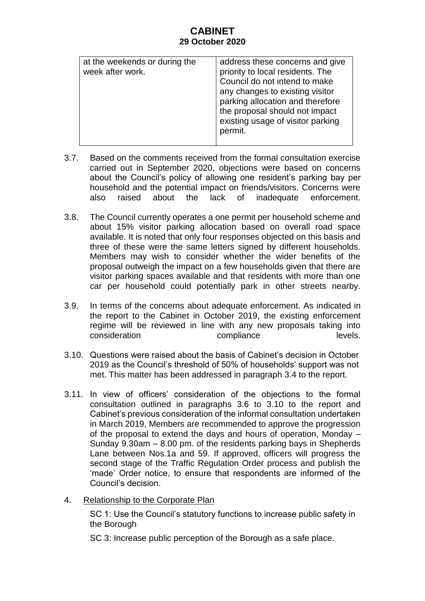| at the weekends or during the<br>week after work. | address these concerns and give<br>priority to local residents. The<br>Council do not intend to make<br>any changes to existing visitor<br>parking allocation and therefore<br>the proposal should not impact<br>existing usage of visitor parking<br>permit. |
|---------------------------------------------------|---------------------------------------------------------------------------------------------------------------------------------------------------------------------------------------------------------------------------------------------------------------|
|---------------------------------------------------|---------------------------------------------------------------------------------------------------------------------------------------------------------------------------------------------------------------------------------------------------------------|

- 3.7. Based on the comments received from the formal consultation exercise carried out in September 2020, objections were based on concerns about the Council's policy of allowing one resident's parking bay per household and the potential impact on friends/visitors. Concerns were also raised about the lack of inadequate enforcement.
- 3.8. The Council currently operates a one permit per household scheme and about 15% visitor parking allocation based on overall road space available. It is noted that only four responses objected on this basis and three of these were the same letters signed by different households. Members may wish to consider whether the wider benefits of the proposal outweigh the impact on a few households given that there are visitor parking spaces available and that residents with more than one car per household could potentially park in other streets nearby.
- 3.9. In terms of the concerns about adequate enforcement. As indicated in the report to the Cabinet in October 2019, the existing enforcement regime will be reviewed in line with any new proposals taking into consideration compliance compliance levels.
- 3.10. Questions were raised about the basis of Cabinet's decision in October 2019 as the Council's threshold of 50% of households' support was not met. This matter has been addressed in paragraph 3.4 to the report.
- 3.11. In view of officers' consideration of the objections to the formal consultation outlined in paragraphs 3.6 to 3.10 to the report and Cabinet's previous consideration of the informal consultation undertaken in March 2019, Members are recommended to approve the progression of the proposal to extend the days and hours of operation, Monday – Sunday 9.30am – 8.00 pm. of the residents parking bays in Shepherds Lane between Nos.1a and 59. If approved, officers will progress the second stage of the Traffic Regulation Order process and publish the 'made' Order notice, to ensure that respondents are informed of the Council's decision.
- 4. Relationship to the Corporate Plan

SC 1: Use the Council's statutory functions to increase public safety in the Borough

SC 3: Increase public perception of the Borough as a safe place.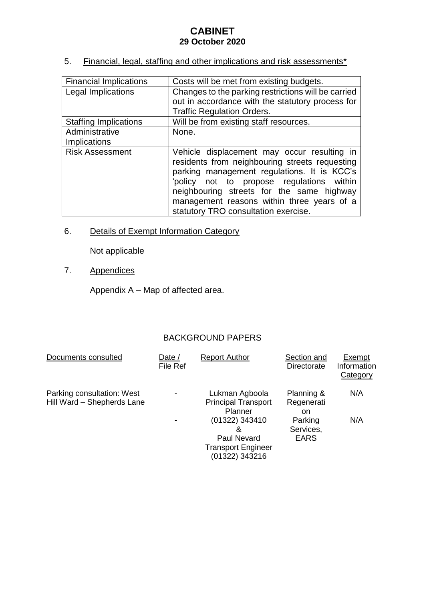5. Financial, legal, staffing and other implications and risk assessments\*

| <b>Financial Implications</b> | Costs will be met from existing budgets.                                                                                                                                                                                                                                                                                     |  |  |
|-------------------------------|------------------------------------------------------------------------------------------------------------------------------------------------------------------------------------------------------------------------------------------------------------------------------------------------------------------------------|--|--|
| Legal Implications            | Changes to the parking restrictions will be carried                                                                                                                                                                                                                                                                          |  |  |
|                               | out in accordance with the statutory process for                                                                                                                                                                                                                                                                             |  |  |
|                               | <b>Traffic Regulation Orders.</b>                                                                                                                                                                                                                                                                                            |  |  |
| <b>Staffing Implications</b>  | Will be from existing staff resources.                                                                                                                                                                                                                                                                                       |  |  |
| Administrative                | None.                                                                                                                                                                                                                                                                                                                        |  |  |
| <b>Implications</b>           |                                                                                                                                                                                                                                                                                                                              |  |  |
| <b>Risk Assessment</b>        | Vehicle displacement may occur resulting in<br>residents from neighbouring streets requesting<br>parking management regulations. It is KCC's<br>'policy not to propose regulations within<br>neighbouring streets for the same highway<br>management reasons within three years of a<br>statutory TRO consultation exercise. |  |  |

6. Details of Exempt Information Category

Not applicable

7. Appendices

Appendix A – Map of affected area.

## BACKGROUND PAPERS

| Documents consulted                                      | Date /<br>File Ref | <b>Report Author</b>                                                         | Section and<br>Directorate                | Exempt<br>Information<br>Category |
|----------------------------------------------------------|--------------------|------------------------------------------------------------------------------|-------------------------------------------|-----------------------------------|
| Parking consultation: West<br>Hill Ward - Shepherds Lane |                    | Lukman Agboola<br><b>Principal Transport</b><br>Planner                      | Planning &<br>Regenerati<br><sub>on</sub> | N/A                               |
|                                                          |                    | (01322) 343410<br>Paul Nevard<br><b>Transport Engineer</b><br>(01322) 343216 | Parking<br>Services,<br><b>EARS</b>       | N/A                               |